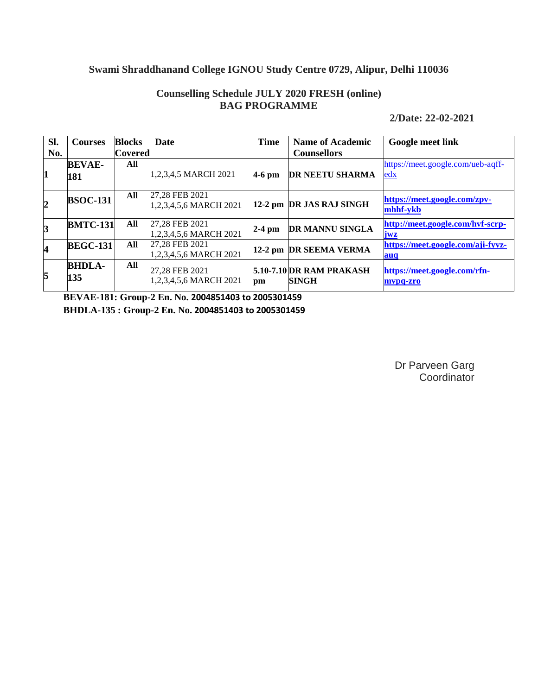# **Swami Shraddhanand College IGNOU Study Centre 0729, Alipur, Delhi 110036**

### **Counselling Schedule JULY 2020 FRESH (online) BAG PROGRAMME**

**2/Date: 22-02-2021**

| Sl.            | <b>Courses</b>  | <b>Blocks</b> | Date                   | <b>Time</b> | <b>Name of Academic</b>  | <b>Google meet link</b>           |
|----------------|-----------------|---------------|------------------------|-------------|--------------------------|-----------------------------------|
| No.            |                 | Covered       |                        |             | <b>Counsellors</b>       |                                   |
|                | <b>BEVAE-</b>   | All           |                        |             |                          | https://meet.google.com/ueb-aqff- |
| 1              | 181             |               | 1,2,3,4,5 MARCH 2021   | $4-6$ pm    | <b>DR NEETU SHARMA</b>   | <u>edx</u>                        |
|                |                 |               |                        |             |                          |                                   |
|                | <b>BSOC-131</b> | All           | 27,28 FEB 2021         |             |                          | https://meet.google.com/zpv-      |
| $\overline{2}$ |                 |               | 1,2,3,4,5,6 MARCH 2021 |             | 12-2 pm DR JAS RAJ SINGH | mhhf-vkb                          |
|                | <b>BMTC-131</b> | All           | 27,28 FEB 2021         |             |                          | http://meet.google.com/hvf-scrp-  |
| 3              |                 |               | 1,2,3,4,5,6 MARCH 2021 | $2-4$ pm    | DR MANNU SINGLA          | iwz                               |
| 4              | <b>BEGC-131</b> | All           | 27.28 FEB 2021         |             | 12-2 pm DR SEEMA VERMA   | https://meet.google.com/aji-fyvz- |
|                |                 |               | 1,2,3,4,5,6 MARCH 2021 |             |                          | auq                               |
|                | <b>BHDLA-</b>   | All           | 27,28 FEB 2021         |             | 5.10-7.10 DR RAM PRAKASH | https://meet.google.com/rfn-      |
| 5              | 135             |               | 1,2,3,4,5,6 MARCH 2021 | pm          | <b>SINGH</b>             | mvpq-zro                          |

**BEVAE-181: Group-2 En. No. 2004851403 to 2005301459 BHDLA-135 : Group-2 En. No. 2004851403 to 2005301459**

> Dr Parveen Garg **Coordinator**